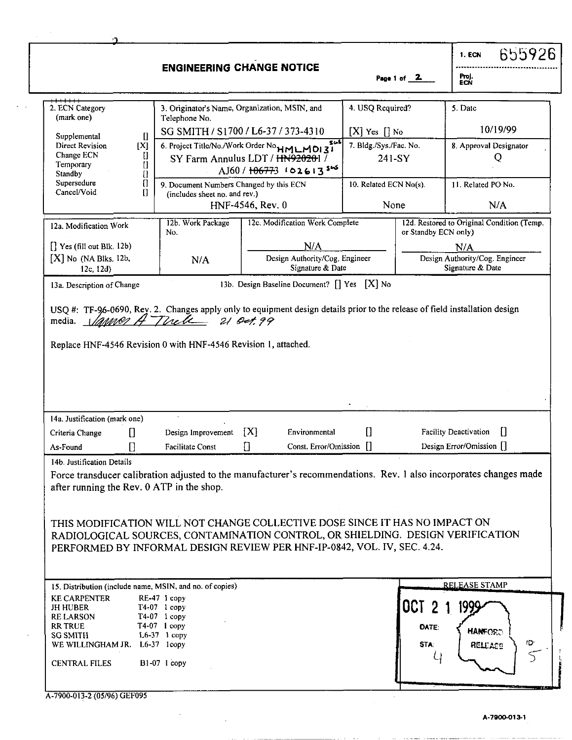|                                                                                |                                                                          |                                                                                                                                                                                                                                           |                        |                                                           | 655926<br>1. ECN                                                                                                   |
|--------------------------------------------------------------------------------|--------------------------------------------------------------------------|-------------------------------------------------------------------------------------------------------------------------------------------------------------------------------------------------------------------------------------------|------------------------|-----------------------------------------------------------|--------------------------------------------------------------------------------------------------------------------|
|                                                                                |                                                                          | <b>ENGINEERING CHANGE NOTICE</b>                                                                                                                                                                                                          |                        | Page 1 of $2$                                             | Froj.<br>ECÑ                                                                                                       |
| 2. ECN Category<br>(mark one)                                                  | Telephone No.                                                            | 3. Originator's Name, Organization, MSIN, and                                                                                                                                                                                             | 4. USQ Required?       |                                                           | 5. Date                                                                                                            |
| O<br>Supplemental                                                              |                                                                          | SG SMITH / S1700 / L6-37 / 373-4310                                                                                                                                                                                                       | $[X]$ Yes $[]$ No      |                                                           | 10/19/99                                                                                                           |
| Direct Revision<br>[X]<br>Change ECN<br>IJ<br>O<br>Temporary<br>Standby<br>Ū   |                                                                          | 564<br>6. Project Title/No./Work Order No <sub>ti</sub> MLM 0131<br>SY Farm Annulus LDT / HN920201 /<br>AJ60/106773 10261356                                                                                                              | 7. Bldg./Sys./Fac. No. | 241-SY                                                    | 8. Approval Designator<br>Q                                                                                        |
| Supersedure<br>$\Box$<br>Cancel/Void<br>П                                      | 9. Document Numbers Changed by this ECN<br>(includes sheet no. and rev.) | HNF-4546, Rev. 0                                                                                                                                                                                                                          | 10. Related ECN No(s). | None                                                      | 11. Related PO No.<br>N/A                                                                                          |
| 12a. Modification Work                                                         | 12b. Work Package<br>No.                                                 | 12c. Modification Work Complete                                                                                                                                                                                                           |                        | or Standby ECN only)                                      | 12d. Restored to Original Condition (Temp.                                                                         |
| $\left[\right]$ Yes (fill out Blk. 12b)<br>$[X]$ No (NA Blks. 12b,<br>12c, 12d | N/A                                                                      | N/A<br>Design Authority/Cog. Engineer<br>Signature & Date                                                                                                                                                                                 |                        | N/A<br>Design Authority/Cog. Engineer<br>Signature & Date |                                                                                                                    |
| 13a. Description of Change                                                     |                                                                          | 13b. Design Baseline Document? [] Yes [X] No                                                                                                                                                                                              |                        |                                                           |                                                                                                                    |
| Replace HNF-4546 Revision 0 with HNF-4546 Revision 1, attached.                |                                                                          |                                                                                                                                                                                                                                           |                        |                                                           |                                                                                                                    |
| 14a. Justification (mark one)                                                  |                                                                          |                                                                                                                                                                                                                                           |                        |                                                           |                                                                                                                    |
| $\mathbf{I}$<br>Criteria Change<br>As-Found<br>14b. Justification Details      | Design Improvement<br>Facilitate Const                                   | [X]<br>Environmental<br>Const. Error/Omission []                                                                                                                                                                                          | $\mathbf{u}$           |                                                           | Facility Deactivation<br>H<br>Design Error/Omission []                                                             |
| after running the Rev. 0 ATP in the shop.                                      |                                                                          | THIS MODIFICATION WILL NOT CHANGE COLLECTIVE DOSE SINCE IT HAS NO IMPACT ON<br>RADIOLOGICAL SOURCES, CONTAMINATION CONTROL, OR SHIELDING. DESIGN VERIFICATION<br>PERFORMED BY INFORMAL DESIGN REVIEW PER HNF-IP-0842, VOL. IV, SEC. 4.24. |                        |                                                           | Force transducer calibration adjusted to the manufacturer's recommendations. Rev. 1 also incorporates changes made |
| 15. Distribution (include name, MSIN, and no. of copies)                       |                                                                          |                                                                                                                                                                                                                                           |                        |                                                           | <b>RELEASE STAMP</b>                                                                                               |

 $\mathcal{F}^{\text{max}}_{\text{max}}$ 

 $\sim$ 

ستتقاد والقارا الممال

والمستور والمستورث المسوعة والرادة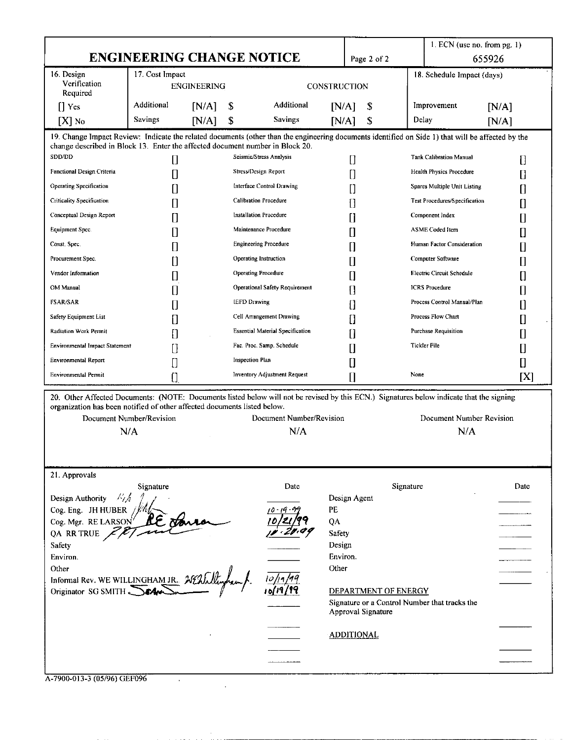|                                                                                                                                                                         |                                  |                    |                        |                                         |                     |                                            | $1.$ ECN (use no. from pg. 1)                 |              |
|-------------------------------------------------------------------------------------------------------------------------------------------------------------------------|----------------------------------|--------------------|------------------------|-----------------------------------------|---------------------|--------------------------------------------|-----------------------------------------------|--------------|
|                                                                                                                                                                         | <b>ENGINEERING CHANGE NOTICE</b> |                    |                        |                                         |                     | Page 2 of 2                                |                                               | 655926       |
| 16. Design                                                                                                                                                              | 17. Cost Impact                  |                    |                        |                                         |                     |                                            | 18. Schedule Impact (days)                    |              |
| Verification<br>Required                                                                                                                                                |                                  | <b>ENGINEERING</b> |                        |                                         | <b>CONSTRUCTION</b> |                                            |                                               |              |
| $\prod$ Yes                                                                                                                                                             | Additional                       | [N/A]              | \$                     | Additional                              | [N/A]               | \$                                         | Improvement                                   | [N/A]        |
| $[X]$ No                                                                                                                                                                | Savings                          | [N/A]              | \$                     | Savings                                 | [N/A]               | \$                                         | Delay                                         | [N/A]        |
| 19. Change Impact Review: Indicate the related documents (other than the engineering documents identified on Side 1) that will be affected by the                       |                                  |                    |                        |                                         |                     |                                            |                                               |              |
| change described in Block 13. Enter the affected document number in Block 20.                                                                                           |                                  |                    |                        |                                         |                     |                                            |                                               |              |
| SDD/DD                                                                                                                                                                  | IJ                               |                    |                        | Seismic/Stress Analysis                 | 0                   |                                            | <b>Tank Calibration Manual</b>                | Ū            |
| Functional Design Criteria                                                                                                                                              |                                  |                    |                        | Stress/Design Report                    | 0                   |                                            | Health Physics Procedure                      | D            |
| <b>Operating Specification</b>                                                                                                                                          |                                  |                    |                        | Interface Control Drawing               | []                  |                                            | Spares Multiple Unit Listing                  | H            |
| <b>Criticality Specification</b>                                                                                                                                        |                                  |                    |                        | <b>Calibration Procedure</b>            | 0                   |                                            | Test Procedures/Specification                 | $\mathbf{I}$ |
| Conceptual Design Report                                                                                                                                                |                                  |                    |                        | <b>Installation Procedure</b>           | []                  |                                            | Component Index                               | Π            |
| Equipment Spec.                                                                                                                                                         |                                  |                    |                        | Maintenance Procedure                   | 0                   |                                            | <b>ASME</b> Coded Item                        |              |
| Const. Spec.                                                                                                                                                            |                                  |                    |                        | <b>Engineering Procedure</b>            |                     |                                            | Human Factor Consideration                    |              |
| Procurement Spec.                                                                                                                                                       |                                  |                    |                        | Operating Instruction                   | []                  |                                            | Computer Software                             | 0            |
| Vendor Information                                                                                                                                                      |                                  |                    |                        | Operating Procedure                     | []                  |                                            | <b>Electric Circuit Schedule</b>              | $\mathsf{I}$ |
| OM Manual                                                                                                                                                               | IJ                               |                    |                        | Operational Safety Requirement          | []                  |                                            | <b>ICRS</b> Procedure                         | Ш            |
| <b>FSAR/SAR</b>                                                                                                                                                         |                                  |                    | <b>IEFD Drawing</b>    |                                         | 0                   |                                            | Process Control Manual/Plan                   | IJ           |
| Safety Equipment List                                                                                                                                                   |                                  |                    |                        | Cell Arrangement Drawing                | 0                   |                                            | Process Flow Chart                            | 0            |
| Radiation Work Permit                                                                                                                                                   |                                  |                    |                        | <b>Essential Material Specification</b> | 0                   |                                            | Purchase Requisition                          |              |
| <b>Environmental Impact Statement</b>                                                                                                                                   |                                  |                    |                        | Fac. Proc. Samp. Schedule               | []                  |                                            | <b>Tickler File</b>                           | U            |
|                                                                                                                                                                         |                                  |                    |                        |                                         |                     |                                            |                                               |              |
| <b>Environmental Report</b>                                                                                                                                             |                                  |                    | <b>Inspection Plan</b> |                                         | []                  |                                            |                                               | 0            |
| <b>Environmental Permit</b><br>20. Other Affected Documents: (NOTE: Documents listed below will not be revised by this ECN.) Signatures below indicate that the signing | Π                                |                    |                        | Inventory Adjustment Request            | []                  |                                            | None                                          | [X]          |
| organization has been notified of other affected documents listed below.<br>Document Number/Revision<br>N/A                                                             |                                  |                    |                        | Document Number/Revision<br>N/A         |                     |                                            | Document Number Revision<br>N/A               |              |
| 21. Approvals                                                                                                                                                           | Signature                        |                    |                        | Date                                    |                     |                                            | Signature                                     | Date         |
| Misk<br>Design Authority                                                                                                                                                |                                  |                    |                        |                                         | Design Agent        |                                            |                                               |              |
| Cog. Eng. JH HUBER                                                                                                                                                      |                                  |                    |                        |                                         | PE                  |                                            |                                               |              |
| Cog. Mgr. RE LARSON <sup>1</sup>                                                                                                                                        |                                  |                    |                        |                                         | QA                  |                                            |                                               |              |
| QA RR TRUE $\chi$<br><b>Safety</b>                                                                                                                                      |                                  |                    |                        |                                         | Safety<br>Design    |                                            |                                               |              |
| Environ.                                                                                                                                                                |                                  |                    |                        |                                         | Environ.            |                                            |                                               |              |
| Other                                                                                                                                                                   |                                  |                    |                        |                                         | Other               |                                            |                                               |              |
| Informal Rev. WE WILLINGHAM JR. 200 March<br>Originator SG SMITH Car                                                                                                    |                                  |                    |                        |                                         |                     | DEPARTMENT OF ENERGY<br>Approval Signature | Signature or a Control Number that tracks the |              |
|                                                                                                                                                                         |                                  |                    |                        |                                         | <b>ADDITIONAL</b>   |                                            |                                               |              |
|                                                                                                                                                                         |                                  |                    |                        |                                         |                     |                                            |                                               |              |
|                                                                                                                                                                         |                                  |                    |                        |                                         |                     |                                            |                                               |              |

| A-7900-013-3 (05/96) GEF096 |  |
|-----------------------------|--|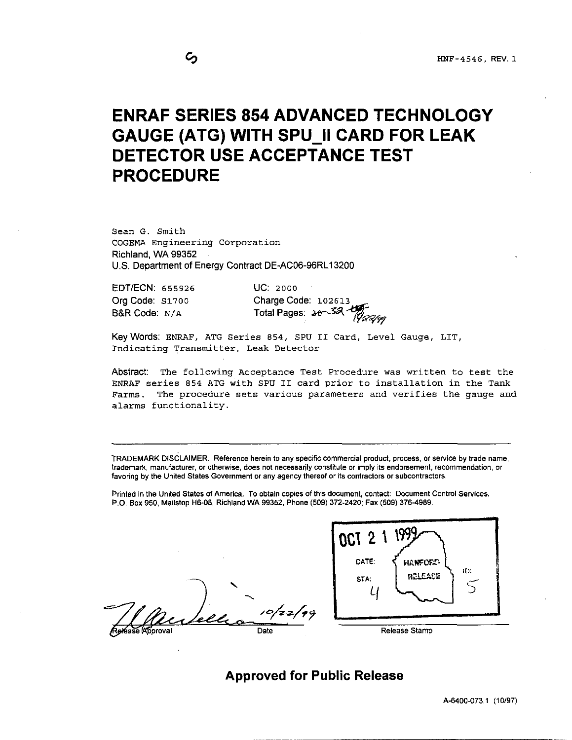## <span id="page-2-0"></span>**ENRAF SERIES 854 ADVANCED TECHNOLOGY GAUGE (ATG) WITH SPU II CARD FOR LEAK PROCEDURE DETECTOR USE ACCEPTANCE TEST**

Sean G. Smith COGEMA Engineering Corporation Richland, WA 99352 U.S. Department of Energy Contract DE-AC06-96RL13200

EDTIECN: **655926** uc: **2000**  Org Code: **si700** 

B&R Code: N/A Total Pages: 30<sup>-32</sup> *Apalen* Charge Code: **102613** 

Keywords: ENRAF, ATG Series **854,** SPU **I1** Card, Level Gauge, LIT, Indicating Transmitter, Leak Detector

Abstract: The following Acceptance Test Procedure was written to test the ENRAF series **854** ATG with **SPU** I1 card prior to installation in the Tank Farms. The procedure sets various parameters and verifies the gauge and alarms functionality.

TRADEMARK DISCLAIMER. Reference herein to any specific commercial product, process. or service by trade name, trademark manufacturer, or otherwise, does not necessarily constitute or imply its endorsement, recommendation, or favoring by the United States Government or any agency thereof or its contractors or subcontractors.

Printed in the United States of America. To obtain copies of this document, contact: Document Control Services. P.O. Box 950, Mailstop H6-08, Richland WA 99352, Phone (509) 372-2420; Fax (509) 376-4989.

*Y*  Date



**Approved for Public Release** 

A-6400-073.1 (10197)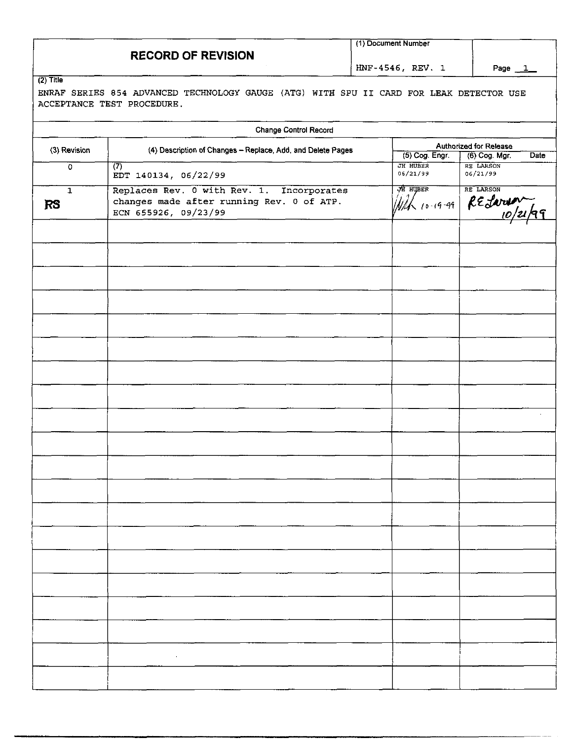|                           |                                                                                                                       | (1) Document Number  |                                                 |
|---------------------------|-----------------------------------------------------------------------------------------------------------------------|----------------------|-------------------------------------------------|
|                           | <b>RECORD OF REVISION</b>                                                                                             | HNF-4546, REV. 1     |                                                 |
| $\overline{(2)}$ Title    | ENRAF SERIES 854 ADVANCED TECHNOLOGY GAUGE (ATG) WITH SPU II CARD FOR LEAK DETECTOR USE<br>ACCEPTANCE TEST PROCEDURE. |                      | Page $1$                                        |
|                           | <b>Change Control Record</b>                                                                                          |                      |                                                 |
| (3) Revision              | (4) Description of Changes - Replace, Add, and Delete Pages                                                           | (5) Cog. Engr.       | Authorized for Release<br>(6) Cog. Mgr.<br>Date |
| $\mathbf 0$               | $\overline{(7)}$<br>EDT 140134, 06/22/99                                                                              | JH HUBER<br>06/21/99 | <b>RE LARSON</b><br>06/21/99                    |
| $\mathbf{1}$<br><b>RS</b> | Replaces Rev. 0 with Rev. 1. Incorporates<br>changes made after running Rev. 0 of ATP.<br>ECN 655926, 09/23/99        |                      | HE LARSON                                       |
|                           |                                                                                                                       |                      |                                                 |
|                           |                                                                                                                       |                      |                                                 |
|                           |                                                                                                                       |                      |                                                 |
|                           |                                                                                                                       |                      |                                                 |
|                           |                                                                                                                       |                      |                                                 |
|                           |                                                                                                                       |                      | $\cdot$                                         |
|                           |                                                                                                                       |                      |                                                 |
|                           |                                                                                                                       |                      |                                                 |
|                           |                                                                                                                       |                      |                                                 |
|                           |                                                                                                                       |                      |                                                 |
|                           |                                                                                                                       |                      |                                                 |
|                           |                                                                                                                       |                      |                                                 |
|                           |                                                                                                                       |                      |                                                 |
|                           |                                                                                                                       |                      |                                                 |
|                           |                                                                                                                       |                      |                                                 |
|                           |                                                                                                                       |                      |                                                 |
|                           |                                                                                                                       |                      |                                                 |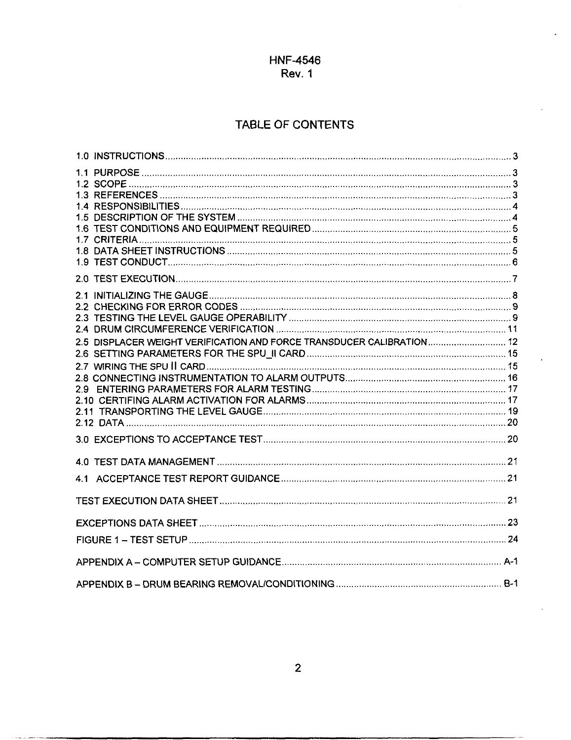## TABLE **OF** CONTENTS

| 2.5 DISPLACER WEIGHT VERIFICATION AND FORCE TRANSDUCER CALIBRATION 12 |  |
|-----------------------------------------------------------------------|--|
|                                                                       |  |
|                                                                       |  |
|                                                                       |  |
|                                                                       |  |
|                                                                       |  |
|                                                                       |  |
|                                                                       |  |
|                                                                       |  |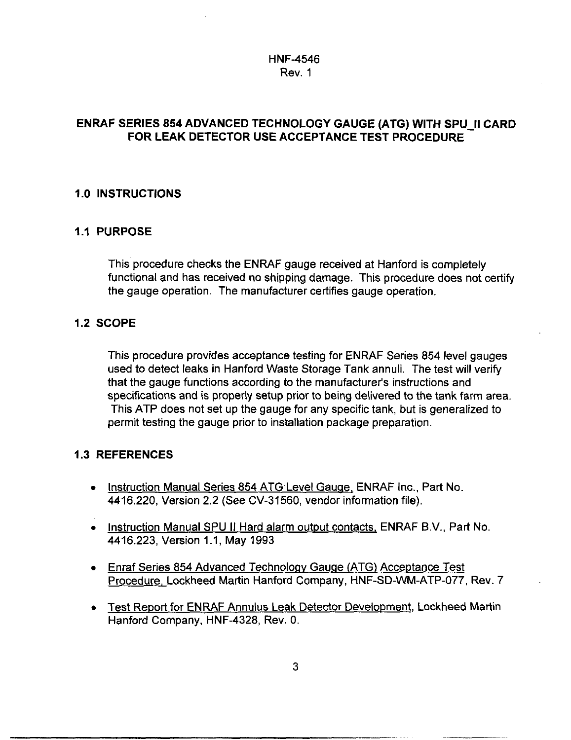## **ENRAF SERIES 854 ADVANCED TECHNOLOGY GAUGE (ATG) WITH SPU-II CARD FOR LEAK DETECTOR USE ACCEPTANCE TEST PROCEDURE**

## **1 .O INSTRUCTIONS**

#### **1.1 PURPOSE**

This procedure checks the ENRAF gauge received at Hanford is completely functional and has received no shipping damage. This procedure does not certify the gauge operation. The manufacturer certifies gauge operation.

#### **1.2 SCOPE**

This procedure provides acceptance testing for ENRAF Series 854 level gauges used to detect leaks in Hanford Waste Storage Tank annuli. The test will verify that the gauge functions according to the manufacturer's instructions and specifications and is properly setup prior to being delivered to the tank farm area. This ATP does not set up the gauge for any specific tank, but is generalized to permit testing the gauge prior to installation package preparation.

#### **1.3 REFERENCES**

- . Instruction Manual Series 854 ATG Level Gauge, ENRAF Inc., Part No. 4416.220, Version 2.2 (See CV-31560, vendor information file).
- Instruction Manual SPU II Hard alarm output contacts, ENRAF B.V., Part No. 4416.223, Version 1.1, May 1993
- Enraf Series 854 Advanced Technoloav Gauae (ATG) Acceptance Test Procedure, Lockheed Martin Hanford Company, HNF-SD-WM-ATP-077, Rev. 7
- Test Report for ENRAF Annulus Leak Detector Development, Lockheed Martin Hanford Company, HNF-4328, Rev. 0.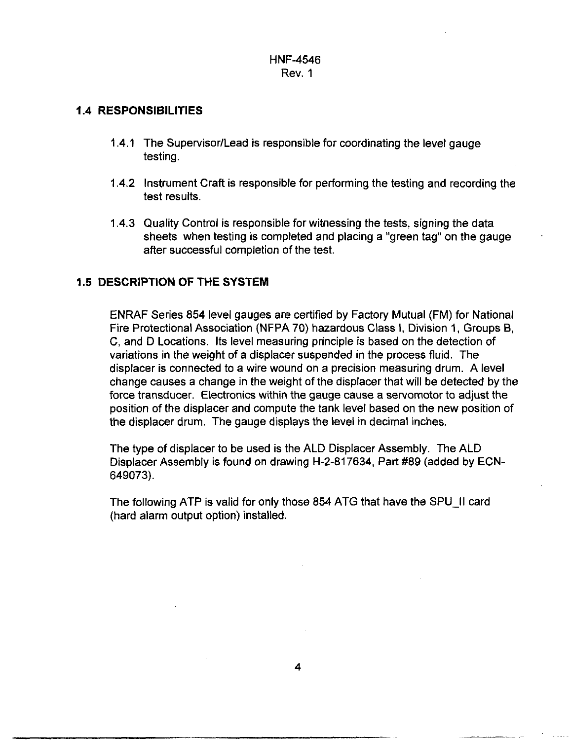#### **1.4 RESPONSIBILITIES**

- I **.4.1** The Supervisor/Lead *is* responsible for coordinating the level gauge testing.
- 1.4.2 Instrument Craft is responsible for performing the testing and recording the test results.
- 1.4.3 Quality Control is responsible for witnessing the tests, signing the data sheets when testing is completed and placing a "green tag" on the gauge after successful completion of the test.

#### **1.5 DESCRIPTION OF THE SYSTEM**

ENRAF Series 854 level gauges are certified by Factory Mutual (FM) for National Fire Protectional Association (NFPA 70) hazardous Class I, Division **1,** Groups **B,**  C, and D Locations. Its level measuring principle is based on the detection of variations in the weight of a displacer suspended in the process fluid. The displacer is connected to a wire wound on a precision measuring drum. A level change causes a change in the weight of the displacer that will be detected by the force transducer. Electronics within the gauge cause a servomotor to adjust the position of the displacer and compute the tank level based on the new position of the displacer drum. The gauge displays the level in decimal inches.

The type of displacer to be used is the ALD Displacer Assembly. The ALD Displacer Assembly is found on drawing H-2-817634, Part #89 (added by ECN-649073).

The following ATP is valid for only those 854 ATG that have the SPU-II card (hard alarm output option) installed.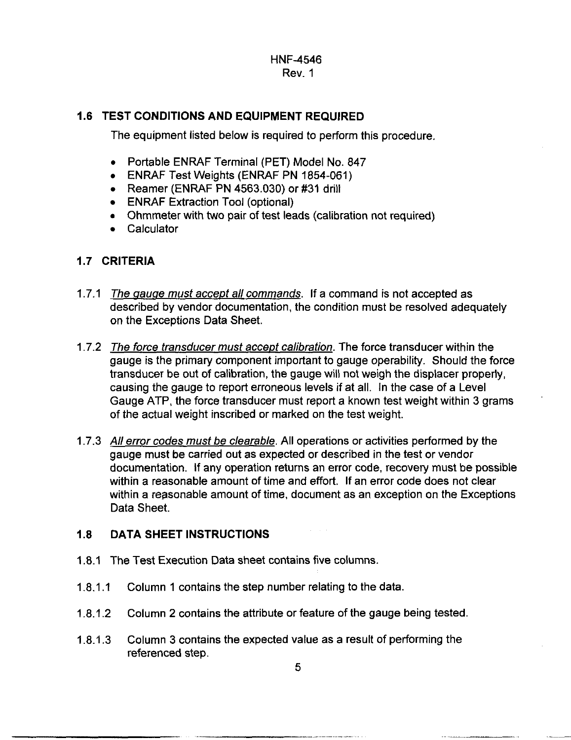## **1.6 TEST CONDITIONS AND EQUIPMENT REQUIRED**

The equipment listed below is required to perform this procedure.

- Portable ENRAF Terminal (PET) Model No. 847
- ENRAF Test Weights (ENRAF PN 1854-061)
- Reamer (ENRAF PN 4563.030) or #31 drill
- ENRAF Extraction Tool (optional)
- Ohmmeter with **two** pair of test leads (calibration not required)
- Calculator

#### **1.7 CRITERIA**

- 1.7.1 *The gauge must accept all commands*. If a command is not accepted as described by vendor documentation, the condition must be resolved adequately on the Exceptions Data Sheet.
- 1.7.2 *The force transducer must accept calibration*. The force transducer within the gauge is the primary component important to gauge operability. Should the force transducer be out of calibration, the gauge will not weigh the displacer properly, causing the gauge to report erroneous levels if at all. In the case of a Level Gauge ATP, the force transducer must report a known test weight within 3 grams of the actual weight inscribed or marked on the test weight.
- 1.7.3 *All error codes must be clearable.* All operations or activities performed by the gauge must be carried out as expected or described in the test or vendor documentation. If any operation returns an error code, recovery must be possible within a reasonable amount of time and effort. If an error code does not clear within a reasonable amount of time, document as an exception on the Exceptions Data Sheet.

#### **1.8 DATA SHEET INSTRUCTIONS**

- 1.8.1 The Test Execution Data sheet contains five columns.
- $1.8.11$ Column 1 contains the step number relating to the data.
- 1.8.1.2 Column 2 contains the attribute or feature of the gauge being tested
- 1.8.1.3 Column 3 contains the expected value as a result of performing the referenced step.

.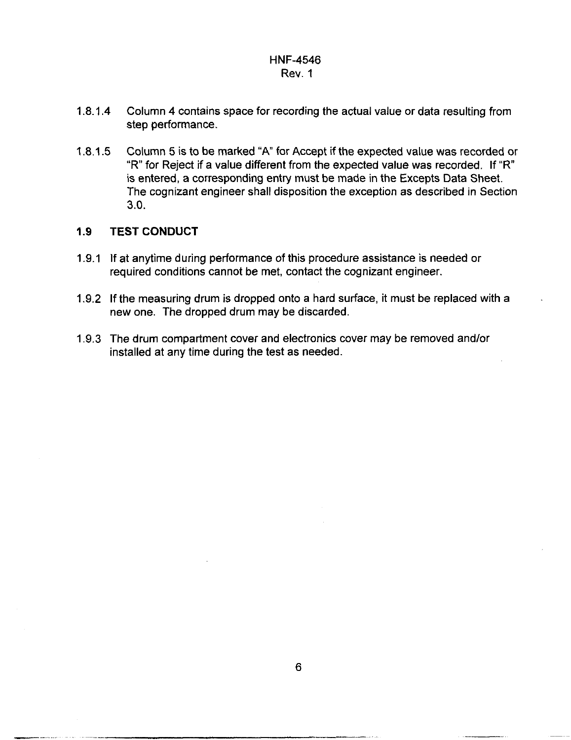- **1.8.1.4** Column **4** contains space for recording the actual value or data resulting from step performance.
- Column 5 is to be marked "A" for Accept if the expected value was recorded or "R" for Reject if a value different from the expected value was recorded. If "R" is entered, a corresponding entry must be made in the Excepts Data Sheet. The cognizant engineer shall disposition the exception as described in Section **3.0. 1.8.1.5**

#### **1.9 TEST CONDUCT**

- **1.9.1** If at anytime during performance of this procedure assistance **is** needed or required conditions cannot be met, contact the cognizant engineer.
- **1.9.2** If the measuring drum is dropped onto a hard surface, it must be replaced with a new one. The dropped drum may be discarded.
- **1.9.3** The drum compartment cover and electronics cover may be removed andlor installed at any time during the test as needed.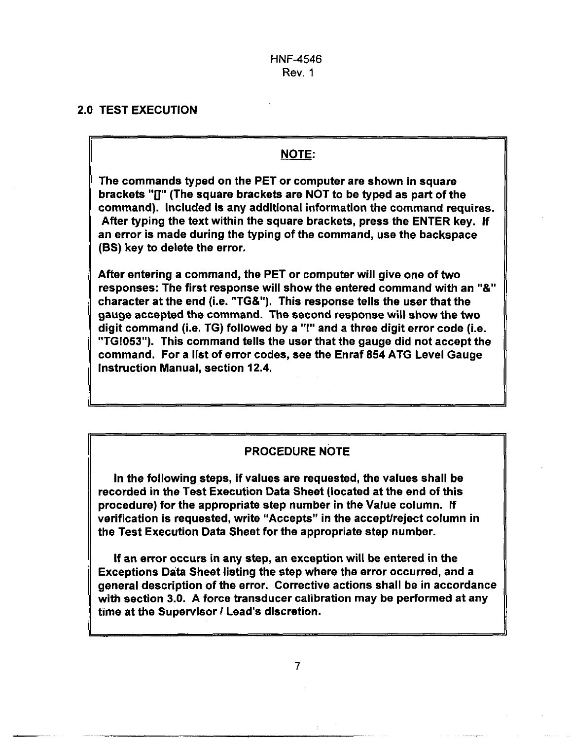#### 2.0 TEST EXECUTION

#### **NOTE:**

The commands typed on the PET or computer are shown in square brackets **"0"** (The square brackets are NOT to be typed as part of the command). Included is any additional information the command requires. After typing the text within the square brackets, press the ENTER key. If an error is made during the typing of the command, use the backspace **(BS)** key to delete the error.

After entering a command, the PET or computer will give one of two responses: The first response will show the entered command with an *"8,"*  character at the end (i.e. "TG&"). This response tells the user that the gauge accepted the command. The second response will show the two digit command (i.e.  $TG$ ) followed by a "!" and a three digit error code (i.e. **"TG!053").** This command tells the user that the gauge did not accept the command. For a list of error codes, see the Enraf 854 ATG Level Gauge Instruction Manual, section 12.4.

#### PROCEDURE NOTE

In the following steps, if values are requested, the values shall be recorded in the Test Execution Data Sheet (located at the end of this procedure) for the appropriate step number in the Value column. If verification is requested, write "Accepts" in the accept/reject column in the Test Execution Data Sheet for the appropriate step number.

If an error occurs in any step, an exception will be entered in the Exceptions Data Sheet listing the step where the error occurred, and a general description of the error. Corrective actions shall be in accordance with section *3.0.* A force transducer calibration may be performed at any time at the Supervisor *I* Lead's discretion.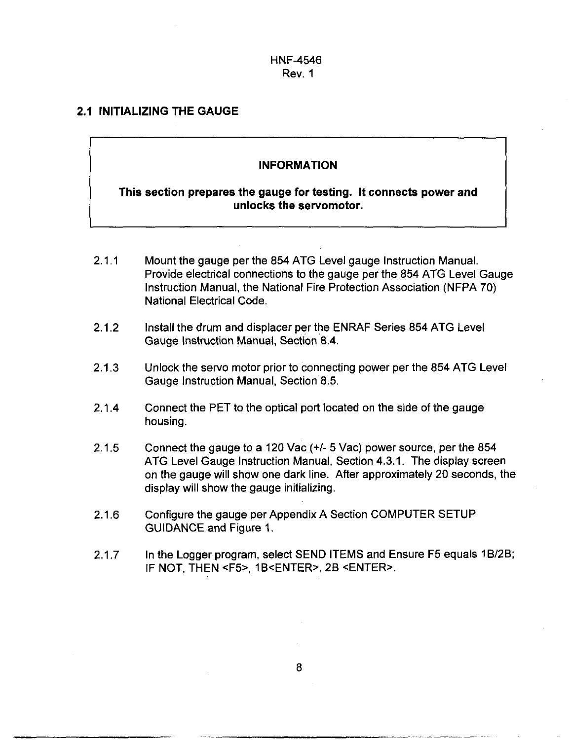#### **2.1 INITIALIZING THE GAUGE**

#### **INFORMATION**

#### **This section prepares the gauge for testing. It connects power and unlocks the servomotor.**

- 2.1.1 Mount the gauge per the 854 ATG Level gauge Instruction Manual. Provide electrical connections to the gauge per the 854 ATG Level Gauge Instruction Manual, the National Fire Protection Association (NFPA 70) National Electrical Code.
- 2.1.2 Install the drum and displacer per the ENRAF Series 854 ATG Level Gauge Instruction Manual, Section 8.4.
- 2.1.3 Unlock the servo motor prior to connecting power per the 854 ATG Level Gauge Instruction Manual, Section 8.5.
- 2.1.4 Connect the PET to the optical port located on the side of the gauge housing.
- 2.1.5 Connect the gauge to a 120 Vac *(+I-* 5 Vac) power source, per the 854 ATG Level Gauge Instruction Manual, Section 4.3.1. The display screen on the gauge will show one dark line. After approximately 20 seconds, the display will show the gauge initializing.
- 2.1.6 Configure the gauge per Appendix A Section COMPUTER SETUP GUIDANCE and [Figure 1.](#page-27-0)
- 2.1.7 In the Logger program, select SEND ITEMS and Ensure F5 equals 18/28; IF NOT, THEN <F5>, 1B<ENTER>, 2B <ENTER>.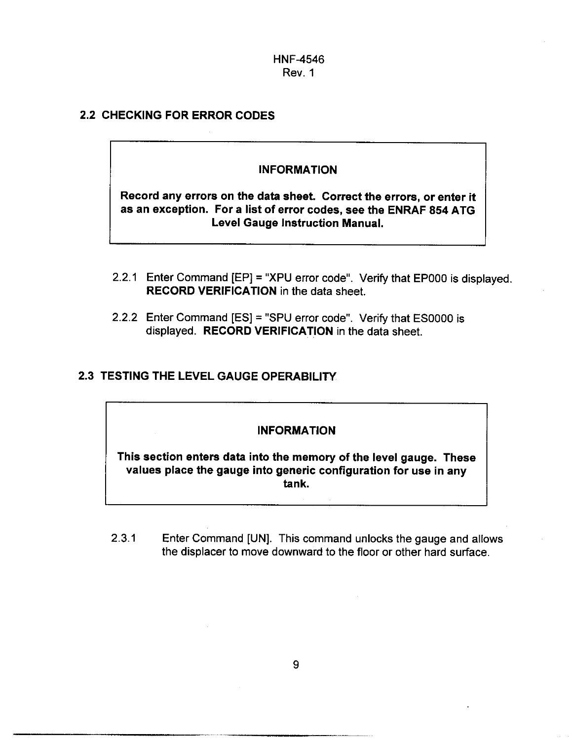#### 2.2 CHECKING FOR ERROR CODES

#### INFORMATION

Record any errors on the data sheet. Correct the errors, or enter it as an exception. For a list of error codes, see the ENRAF 854 ATG Level Gauge Instruction Manual.

- 2.2.1 Enter Command  $[EP] = "XPU error code".$  Verify that  $EP000$  is displayed. RECORD VERIFICATION in the data sheet.
- 2.2.2 Enter Command [ES] = "SPU error code". Verify that **ESOOOO** is displayed. RECORD VERIFICATION in the data sheet.

#### **2.3** TESTING THE LEVEL GAUGE OPERABILITY

#### INFORMATION

This section enters data into the memory of the level gauge. These values place the gauge into generic configuration for use in any tank.

2.3.1 Enter Command [UN]. This command unlocks the gauge and allows the displacer to move downward to the floor or other hard surface.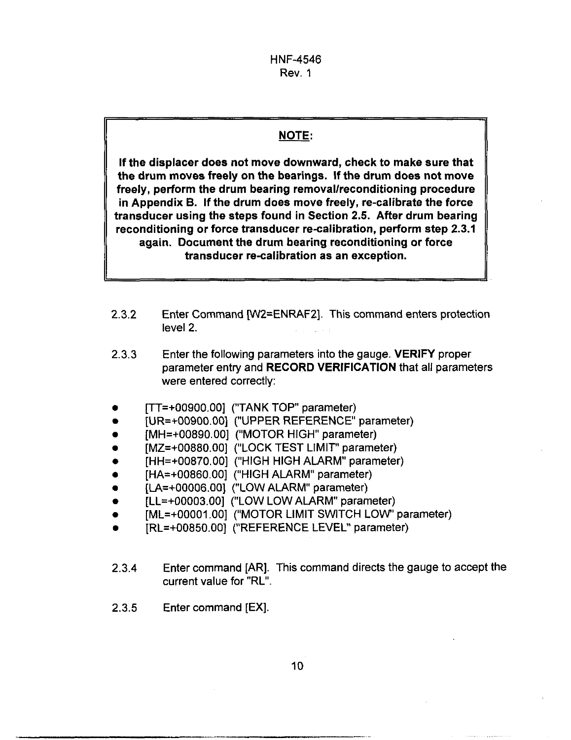# I *NOTE:*

If the displacer does not move downward, check to make sure that the drum moves freely on the bearings. If the drum does not move freely, perform the drum bearing removal/reconditioning procedure in Appendix B. If the drum does move freely, re-calibrate the force transducer using the steps found in Section 2.5. After drum bearing reconditioning or force transducer re-calibration, perform step 2.3.1 again. Document the drum bearing reconditioning or force transducer re-calibration as an exception.

- 2.3.2 Enter Command [W2=ENRAF2]. This command enters protection level 2.
- Enter the following parameters into the gauge. VERIFY proper parameter entry and RECORD VERIFICATION that all parameters were entered correctly: 2.3.3
- [TT=+00900.00] ("TANK TOP" parameter)
- [UR=+00900.00] ("UPPER REFERENCE' parameter)
- [MH=+00890.00] ("MOTOR HIGH" parameter)
- [MZ=+00880.00] ("LOCK TEST LIMIT'' parameter)
- [HH=+00870.00] ("HIGH HIGH ALARM" parameter)
- [HA=+00860.00] ("HIGH ALARM" parameter)
- [LA=+00006.00] ("LOW ALARM" parameter)
- [LL=+OOOO3.00] ("LOW LOW ALARM" parameter)  $\bullet$
- [ML=+00001.00] ("MOTOR LIMIT SWITCH LOW' parameter)
- [RL=+00850.00] ("REFERENCE LEVEC' parameter)
- 2.3.4 Enter command [AR]. This command directs the gauge to accept the current value for "RL".
- 2.3.5 Enter command [EX].

IL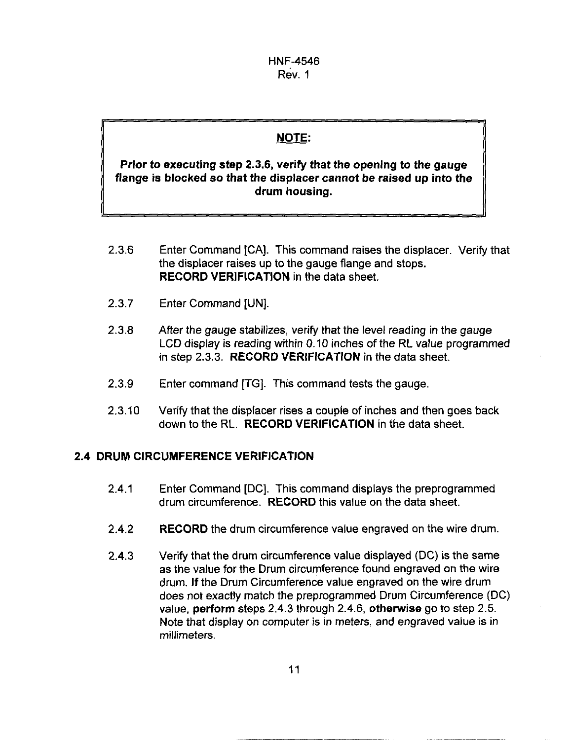## NOTE:

#### **Prior to executing step 2.3.6, verify that the opening to the gauge flange is blocked so that the displacer cannot be raised up into the drum housing.**

- **2.3.6**  Enter Command [CAI. This command raises the displacer. Verify that the displacer raises up to the gauge flange and stops. **RECORD VERIFICATION** in the data sheet.
- **2.3.7**  Enter Command [UN].
- **2.3.8**  After the gauge stabilizes, verify that the level reading in the gauge LCD display is reading within 0.10 inches *of* the **RL** value programmed in step **2.3.3. RECORD VERIFICATION** in the data sheet.
- **2.3.9**  Enter command [TG]. This command tests the gauge.
- **2.3.10**  Verify that the displacer rises a couple of inches and then goes back down to the RL. **RECORD VERIFICATION** in the data sheet.

#### **2.4 DRUM CIRCUMFERENCE VERIFICATION**

- **2.4.1** Enter Command [DC]. This command displays the preprogrammed drum circumference. **RECORD** this value on the data sheet.
- **2.4.2 RECORD** the drum circumference value engraved on the wire drum.
- **2.4.3**  Verify that the drum circumference value displayed (DC) is the same as the value for the Drum circumference found engraved on the wire drum. **If** the Drum Circumference value engraved **on** the wire drum does not exactly match the preprogrammed Drum Circumference (DC) value, **perform** steps **2.4.3** through **2.4.6, otherwise** go to step **2.5.**  Note that display on computer **is** in meters, and engraved value **is** in millimeters.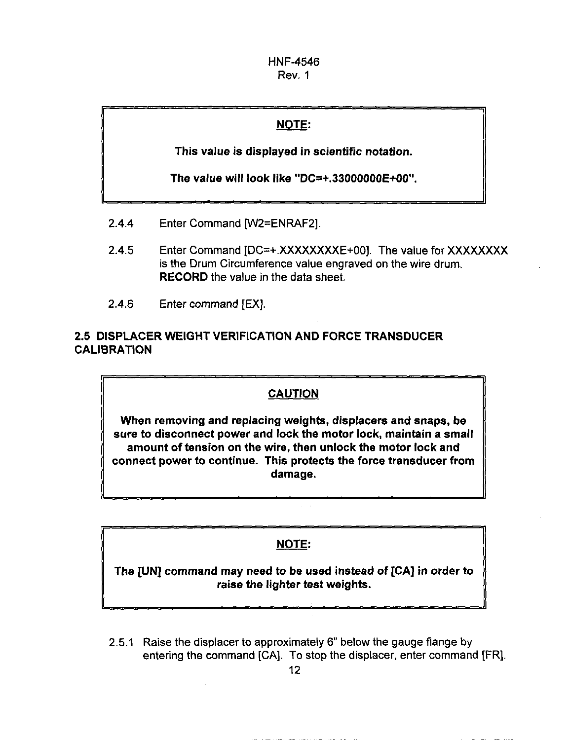## NOTE:

This value is displayed in scientific notation.

The value will look like "DC=+.33000000E+00".

- 2.4.4 Enter Command [WZ=ENRAF2].
- 2.4.5 Enter Command [DC=+ XXXXXXXXE+00]. The value for XXXXXXXX is the Drum Circumference value engraved **on** the wire drum. RECORD the value in the data sheet.
- **2.4.6** Enter command [EX].

## 2.5 DISPLACER WEIGHT VERIFICATION AND FORCE TRANSDUCER CALIBRATION

#### CAUTION

When removing and replacing weights, displacers and snaps, be sure to disconnect power and lock the motor lock, maintain a small amount of tension on the wire, then unlock the motor lock and connect power to continue. This protects the force transducer from damage.

## NOTE:

The [UN] command may need to be used instead of [CA] in order to raise the lighter test weights.

2.5.1 Raise the displacer to approximately 6" below the gauge flange by entering the command [CA]. To stop the displacer, enter command [FR].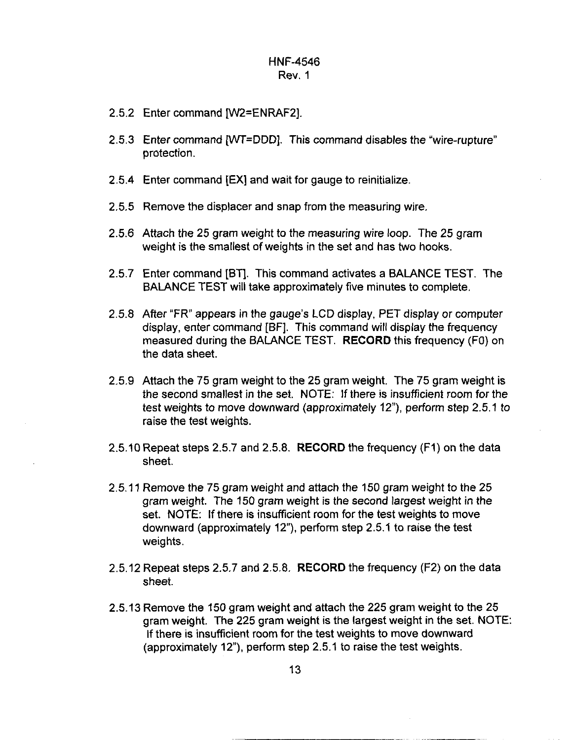- 2.5.2 Enter command [W2=ENRAF2].
- 2.5.3 Enter command [WT=DDD]. This command disables the "wire-rupture" protection.
- 2.5.4 Enter command [EX] and wait for gauge to reinitialize.
- 2.5.5 Remove the displacer and snap from the measuring wire.
- 2.5.6 Attach the 25 gram weight to the measuring wire loop. The 25 gram weight **is** the smallest of weights in the set and has two hooks.
- 2.5.7 Enter command [BT]. This command activates a BALANCE TEST. The BALANCE TEST will take approximately five minutes to complete.
- 2.5.8 After "FR" appears in the gauge's LCD display, PET display or computer display, enter command [BF]. This command will display the frequency measured during the BALANCE TEST. **RECORD** this frequency (FO) on the data sheet.
- 2.5.9 Attach the 75 gram weight to the 25 gram weight. The 75 gram weight is the second smallest in the set. NOTE: If there is insufficient room for the test weights to move downward (approximately 12"), perform step 2.5.1 to raise the test weights.
- 2.5.10 Repeat steps 2.5.7 and 2.5.8. **RECORD** the frequency (FI) on the data sheet.
- 2.5.11 Remove the 75 gram weight and attach the 150 gram weight to the 25 gram weight. The 150 gram weight is the second largest weight in the set. NOTE: **If** there is insufficient room for the test weights to move downward (approximately 12"), perform step 2.5.1 to raise the test weights.
- 2.5.12 Repeat steps 2.5.7 and 2.5.8. **RECORD** the frequency (F2) on the data sheet.
- 2.5.13 Remove the 150 gram weight and attach the 225 gram weight to the 25 gram weight. The 225 gram weight **is** the largest weight in the set. NOTE: **If** there is insufficient room for the test weights to move downward (approximately 12"), perform step 2.5.1 to raise the test weights.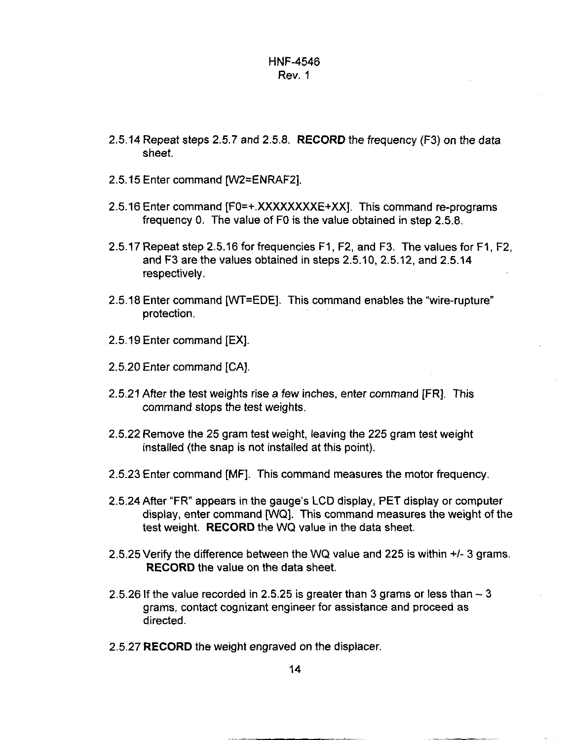- 2.5.14 Repeat steps 2.5.7 and 2.5.8. **RECORD** the frequency (F3) on the data sheet.
- 2.5.15 Enter command [W2=ENRAF2].
- 2.5.16 Enter command [FO=+.XXXXXXXXE+XX]. This command re-programs frequency 0. The value of FO is the value obtained in step 2.5.8.
- 2.5.17 Repeat step 2.5.16 for frequencies FI, F2, and F3. The values for FI, F2, and F3 are the values obtained in steps 2.5.10, 2.5.12, and 2.5.14 respectively.
- 2.5.18 Enter command [WT=EDE]. This command enables the "wire-rupture" protection.
- 2.5.19 Enter command [EX]
- 2.5.20 Enter command [CAI.
- 2.5.21 After the test weights rise a few inches, enter command [FR]. This command stops the test weights.
- 2.5.22 Remove the 25 gram test weight, leaving the 225 gram test weight installed (the snap is not installed at this point).
- 2.5.23 Enter command [MF]. This command measures the motor frequency
- 2.5.24 After "FR" appears in the gauge's LCD display, PET display or computer display, enter command WQ]. This command measures the weight of the test weight. **RECORD** the WQ value in the data sheet.
- 2.5.25 Verify the difference between the WQ value and 225 is within  $+/-$  3 grams. **RECORD** the value on the data sheet.
- 2.5.26 If the value recorded in 2.5.25 is greater than 3 grams or less than  $-3$ grams, contact cognizant engineer for assistance and proceed as directed.
- 2.5.27 **RECORD** the weight engraved on the displacer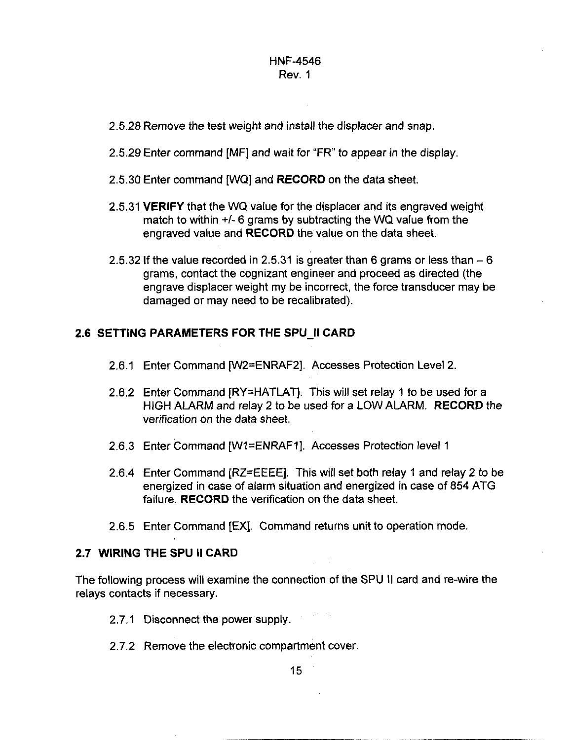- **2.5.28** Remove the test weight and install the displacer and snap.
- **2.5.29** Enter command [MF] and wait for "FR" to appear in the display.
- **2.5.30** Enter command [WQ] and **RECORD** on the data sheet.
- **2.5.31 VERIFY** that the WQ value for the displacer and its engraved weight match to within *+I-* **6** grams by subtracting the WQ value from the engraved value and **RECORD** the value on the data sheet.
- 2.5.32 If the value recorded in 2.5.31 is greater than 6 grams or less than  $-6$ grams, contact the cognizant engineer and proceed as directed (the engrave displacer weight my be incorrect, the force transducer may be damaged or may need to be recalibrated).

#### **2.6 SETTING PARAMETERS FOR THE SPU-I1 CARD**

- **2.6.1** Enter Command [W2=ENRAF2]. Accesses Protection Level **2**
- **2.6.2** Enter Command [RY=HATLAT]. This will set relay **1** to be used for a HIGH ALARM and relay **2** *to* be used for a LOW ALARM. **RECORD** the verification on the data sheet.
- **2.6.3** Enter Command [Wl=ENRAFl]. Accesses Protection level **1**
- **2.6.4** Enter Command [RZ=EEEE]. This will set both relay 1 and relay **2** to be energized in case of alarm situation and energized in case of **854** ATG failure. **RECORD** the verification on the data sheet.
- **2.6.5** Enter Command [EX]. Command returns unit to operation mode.

#### **2.7 WIRING THE SPU II CARD**

The following process will examine the connection of the SPU II card and re-wire the relays contacts if necessary.

- **2.7.1** Disconnect the power supply.
- **2.7.2** Remove the electronic compartment cover.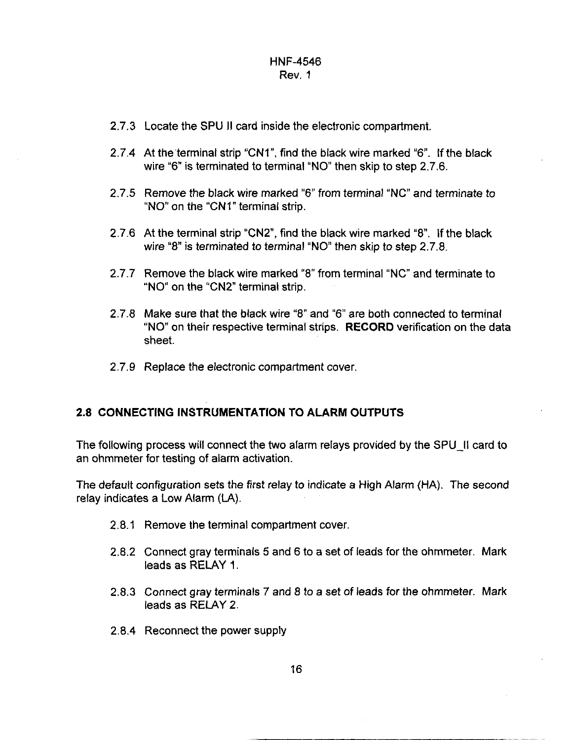- **2.7.3** Locate the SPU II card inside the electronic compartment.
- 2.7.4 At the terminal strip "CN1", find the black wire marked "6". If the black wire "6" is terminated to terminal "NO" then skip to step 2.7.6.
- **2.7.5** Remove the black wire marked "6" from terminal "NC" and terminate to "NO" on the "CNI" terminal strip.
- **2.7.6** At the terminal strip "CN2, find the black wire marked *"8.* If the black wire "8" is terminated to terminal "NO" then skip to step 2.7.8.
- **2.7.7** Remove the black wire marked "8" from terminal "NC" and terminate to "NO" on the "CN2" terminal strip.
- **2.7.8** Make sure that the black wire **"8"** and "6" are both connected to terminal "NO" on their respective terminal strips. **RECORD** verification on the data sheet.
- **2.7.9** Replace the electronic compartment cover.

#### **2.8 CONNECTING INSTRUMENTATION TO ALARM OUTPUTS**

The following process will connect the two alarm relays provided by the SPU-II card to an ohmmeter for testing of alarm activation.

The default configuration sets the first relay to indicate a High Alarm (HA). The second relay indicates a Low Alarm (LA).

- **2.8.1** Remove the terminal compartment cover.
- **2.8.2** Connect gray terminals **5** and 6 to a set of leads for the ohmmeter. Mark leads as RELAY **1.**
- **2.8.3** Connect gray terminals **7** and 8 to a set of leads for the ohmmeter. Mark leads as RELAY **2.**
- **2.8.4** Reconnect the power supply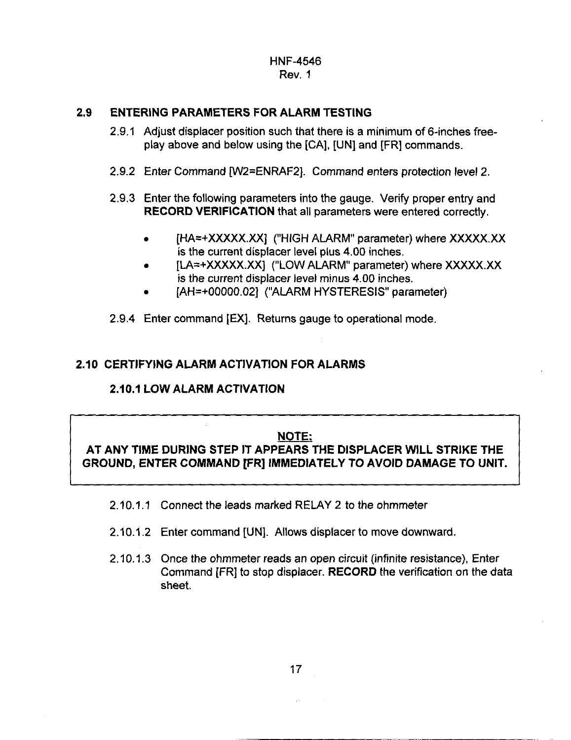#### **2.9 ENTERING PARAMETERS FOR ALARM TESTING**

- 2.9.1 Adjust displacer position such that there is a minimum of 6-inches freeplay above and below using the [CAI, [UN] and [FR] commands.
- 2.9.2 Enter Command [W2=ENRAF2]. Command enters protection level 2.
- 2.9.3 Enter the following parameters into the gauge. Verify proper entry and **RECORD VERIFICATION** that all parameters were entered correctly.
	- [HA=+XXXXX.XX] ("HIGH ALARM" parameter) where XXXXX.XX  $\bullet$ is the current displacer level plus 4.00 inches.
	- [LA=+XXXXX.XX] ("LOW ALARM" parameter) where XXXXX.XX  $\bullet$ is the current displacer level minus 4.00 inches.
	- [AH=+00000.02] ("ALARM HYSTERESIS" parameter)
- 2.9.4 Enter command [EX]. Returns gauge to operational mode.

#### **2.10 CERTIFYING ALARM ACTIVATION FOR ALARMS**

#### **210.1 LOW ALARM ACTIVATION**

ــا

#### **NOTE:**

**AT ANY TIME DURING STEP IT APPEARS THE DISPLACER WILL STRIKE THE GROUND, ENTER COMMAND [FR] IMMEDIATELY TO AVOID DAMAGE TO UNIT.** 

- 2.10.1.1 Connect the leads marked RELAY 2 to the ohmmeter
- 2.10.1.2 Enter command [UN]. Allows displacer to move downward.
- 2.10.1.3 Once the ohmmeter reads an open circuit (infinite resistance), Enter Command IFRI to stop displacer. RECORD the verification on the data sheet.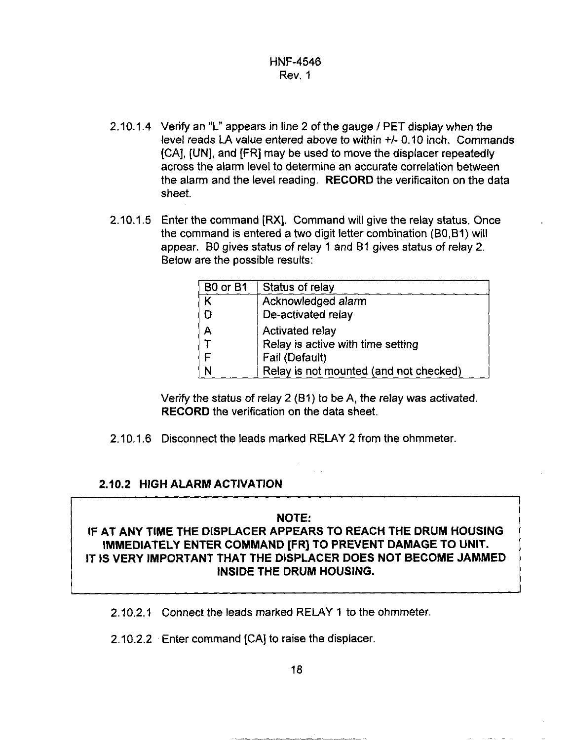- 2.10.1.4 Verify an "L" appears in line 2 of the gauge / PET display when the level reads LA value entered above to within +/- 0.10 inch. Commands [CAI, [UN], and [FR] may be used to move the displacer repeatedly across the alarm level to determine an accurate correlation between the alarm and the level reading. **RECORD** the verificaiton on the data sheet.
- 2.10.1.5 Enter the command **[RX].** Command will give the relay status. Once the command is entered a two digit letter combination (B0,BI) will appear. BO gives status *of* relay 1 and 81 gives status *of* relay 2. Below are the possible results:

| B <sub>0</sub> or B <sub>1</sub> | Status of relay                        |  |  |
|----------------------------------|----------------------------------------|--|--|
|                                  | Acknowledged alarm                     |  |  |
| Ð                                | De-activated relay                     |  |  |
| $\overline{A}$                   | Activated relay                        |  |  |
|                                  | Relay is active with time setting      |  |  |
|                                  | Fail (Default)                         |  |  |
| N                                | Relay is not mounted (and not checked) |  |  |

Verify the status of relay 2 (61) to be A, the relay was activated. **RECORD** the verification **on** the data sheet.

2.10.1.6 Disconnect the leads marked RELAY 2 from the ohmmeter.

#### **2.10.2 HIGH ALARM ACTIVATION**

#### **NOTE:**

## **IF AT ANY TIME THE DISPLACER APPEARS TO REACH THE DRUM HOUSING IMMEDIATELY ENTER COMMAND [FR] TO PREVENT DAMAGE TO UNIT. IT IS VERY IMPORTANT THAT THE DISPLACER DOES NOT BECOME JAMMED INSIDE THE DRUM HOUSING.**

2.10.2.1 Connect the leads marked RELAY 1 to the ohmmeter.

2.10.2.2 Enter command **[CAI** to raise the displacer.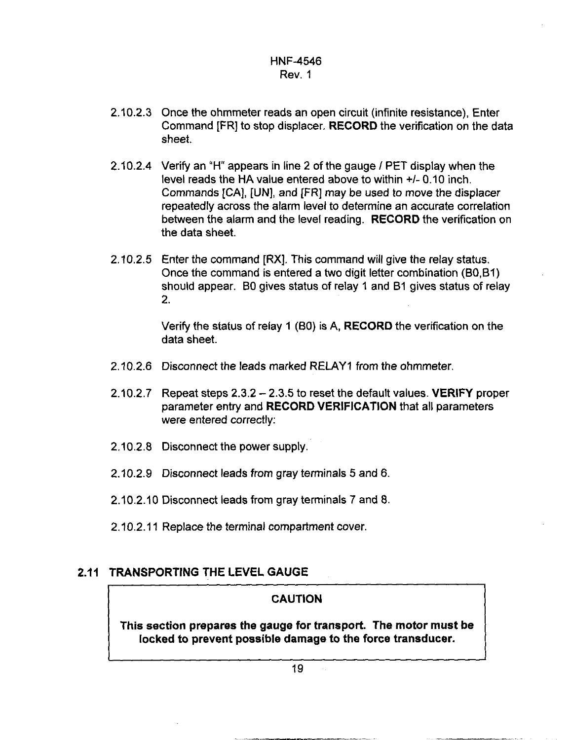- 2.10.2.3 Once the ohmmeter reads an open circuit (infinite resistance), Enter Command [FR] to stop displacer. **RECORD** the verification on the data sheet.
- 2.10.2.4 Verify an "H" appears in line 2 of the gauge *I* PET display when the level reads the HA value entered above to within *+I-* 0.10 inch. Commands [CAI, **[UN],** and [FR] may be used *to* move the displacer repeatedly across the alarm level to determine an accurate correlation between the alarm and the level reading. **RECORD** the verification on the data sheet.
- 2.10.2.5 Enter the command [RX]. This command will give the relay status. Once the command is entered a two digit letter combination (B0,Bl) should appear. BO gives status of relay 1 and 61 gives status of relay 2.

Verify the status of relay **1** (BO) is **A, RECORD** the verification on the data sheet.

- 2.10.2.6 Disconnect the leads marked RELAY1 from the ohmmeter.
- 2.10.2.7 Repeat steps 2.3.2 2.3.5 to reset the default values. **VERIFY** proper parameter entry and **RECORD VERIFICATION** that all parameters were entered correctly:
- 2.10.2.8 Disconnect the power supply.
- 2.10.2.9 Disconnect leads from gray terminals 5 and 6.
- 2.10.2.10 Disconnect leads from gray terminals 7 and 8.
- 2.10.2.11 Replace the terminal compartment cover.

## **2.11 TRANSPORTING THE LEVEL GAUGE**

#### **CAUTION**

**This section prepares the gauge for transport. The motor must be locked to prevent possible damage to the force transducer.**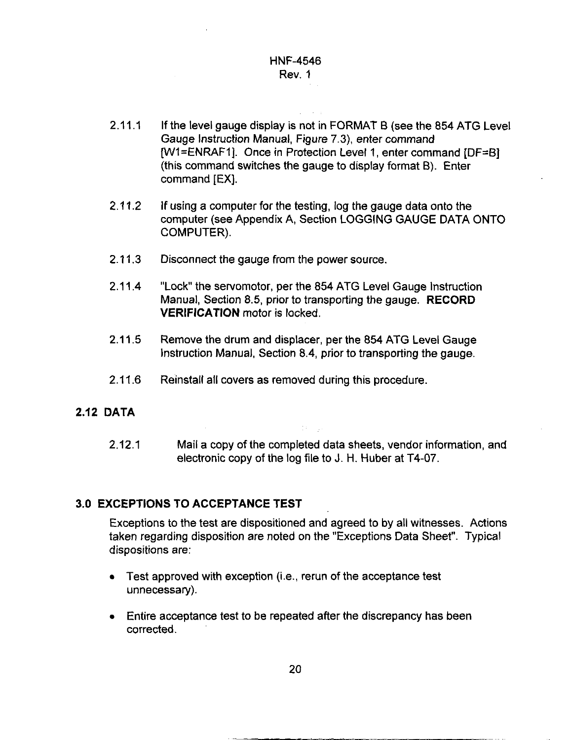- 2.11.1 If the level gauge display is not in FORMAT B (see the 854 ATG Level Gauge Instruction Manual, Figure **7.3),** enter command [Wl=ENRAFl]. Once in Protection Level **1,** enter command [DF=B] (this command switches the gauge to display format *8).* Enter command [EX].
- **If** using a computer for the testing, log the gauge data onto the computer (see Appendix A, Section LOGGING GAUGE DATA ONTO COMPUTER). 2.11.2
- Disconnect the gauge from the power source.  $2.11.3$
- "Lock" the servomotor, per the 854 ATG Level Gauge Instruction Manual, Section 8.5, prior to transporting the gauge. **RECORD VERIFICATION** motor is locked.  $2.11.4$
- 2.11.5 Remove the drum and displacer, per the 854 ATG Level Gauge Instruction Manual, Section 8.4, prior to transporting the gauge.
- 2.11.6 Reinstall all covers as removed during this procedure.

#### **2.12 DATA**

2.12.1 Mail a copy of the completed data sheets, vendor information, and electronic copy of the log file to **J.** H. Huber at T4-07.

#### **3.0 EXCEPTIONS TO ACCEPTANCE TEST**

Exceptions to the test are dispositioned and agreed to by all witnesses. Actions taken regarding disposition are noted on the "Exceptions Data Sheet". Typical dispositions are:

- $\bullet$  Test approved with exception (i.e., rerun of the acceptance test unnecessary).
- Entire acceptance test to be repeated after the discrepancy has been corrected.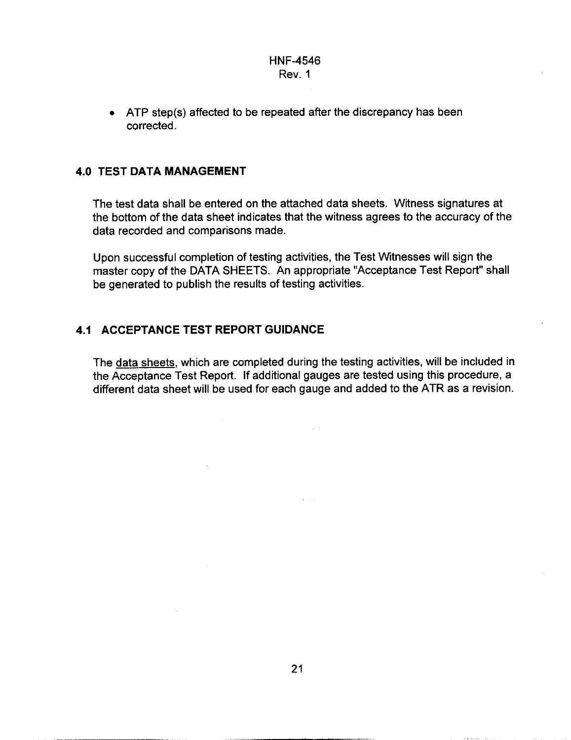• ATP step(s) affected to be repeated after the discrepancy has been corrected.

#### **4.0 TEST DATA MANAGEMENT**

The test data shall be entered on the attached data sheets. Witness signatures at the bottom of the data sheet indicates that the witness agrees to the accuracy of the data recorded and comparisons made.

Upon successful completion of testing activities, the Test Witnesses will sign the master copy of the DATA SHEETS. An appropriate "Acceptance Test Report" shall be generated to publish the results of testing activities.

#### **4.1 ACCEPTANCE TEST REPORT GUIDANCE**

The data sheets, which are completed during the testing activities, will be included in the Acceptance Test Report. If additional gauges are tested using this procedure, a different data sheet will be used for each gauge and added to the ATR as a revision.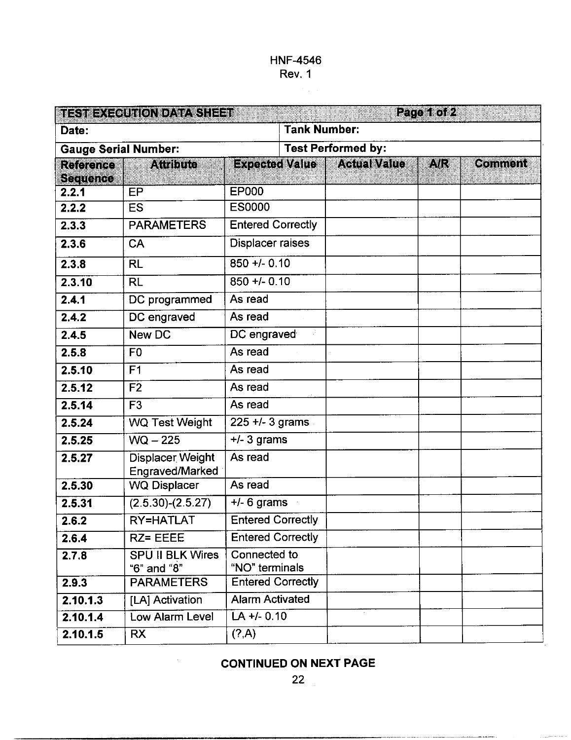|                             | TEST EXECUTION DATA SHEET                  |                                |                     |                                      | Page 1 of 2 |                |
|-----------------------------|--------------------------------------------|--------------------------------|---------------------|--------------------------------------|-------------|----------------|
| Date:                       |                                            |                                | <b>Tank Number:</b> |                                      |             |                |
| <b>Gauge Serial Number:</b> |                                            | <b>Test Performed by:</b>      |                     |                                      |             |                |
| Reichde<br><b>Sequence</b>  | <b>Attribute</b>                           |                                |                     | <b>Expected Value   Actual Value</b> | A/R         | <b>Comment</b> |
| 2.2.1                       | EP                                         | <b>EP000</b>                   |                     |                                      |             |                |
| 2.2.2                       | <b>ES</b>                                  | <b>ES0000</b>                  |                     |                                      |             |                |
| 2.3.3                       | <b>PARAMETERS</b>                          | <b>Entered Correctly</b>       |                     |                                      |             |                |
| 2.3.6                       | CA                                         | <b>Displacer raises</b>        |                     |                                      |             |                |
| 2.3.8                       | <b>RL</b>                                  | $850 + 0.10$                   |                     |                                      |             |                |
| 2.3.10                      | <b>RL</b>                                  | $850 + 0.10$                   |                     |                                      |             |                |
| 2.4.1                       | DC programmed                              | As read                        |                     |                                      |             |                |
| 2.4.2                       | DC engraved                                | As read                        |                     |                                      |             |                |
| 2.4.5                       | <b>New DC</b>                              | DC engraved                    |                     |                                      |             |                |
| 2.5.8                       | F <sub>0</sub>                             | As read                        |                     |                                      |             |                |
| 2.5.10                      | F <sub>1</sub>                             | As read                        |                     |                                      |             |                |
| 2.5.12                      | F <sub>2</sub>                             | As read                        |                     |                                      |             |                |
| 2.5.14                      | F <sub>3</sub>                             | As read                        |                     |                                      |             |                |
| 2.5.24                      | <b>WQ Test Weight</b>                      | $225 + 3$ grams                |                     |                                      |             |                |
| 2.5.25                      | $WQ - 225$                                 | $+/- 3$ grams                  |                     |                                      |             |                |
| 2.5.27                      | Displacer Weight<br><b>Engraved/Marked</b> | As read                        |                     |                                      |             |                |
| 2.5.30                      | <b>WQ Displacer</b>                        | As read                        |                     |                                      |             |                |
| 2.5.31                      | $(2.5.30)-(2.5.27)$                        | $+/-$ 6 grams                  |                     |                                      |             |                |
| 2.6.2                       | RY=HATLAT                                  | <b>Entered Correctly</b>       |                     |                                      |             |                |
| 2.6.4                       | RZ= EEEE                                   | <b>Entered Correctly</b>       |                     |                                      |             |                |
| 2.7.8                       | <b>SPU II BLK Wires</b><br>"6" and "8"     | Connected to<br>"NO" terminals |                     |                                      |             |                |
| 2.9.3                       | <b>PARAMETERS</b>                          | <b>Entered Correctly</b>       |                     |                                      |             |                |
| 2.10.1.3                    | [LA] Activation                            | <b>Alarm Activated</b>         |                     |                                      |             |                |
| 2.10.1.4                    | Low Alarm Level                            | $LA +/- 0.10$                  |                     |                                      |             |                |
| 2.10.1.5                    | <b>RX</b>                                  | (?, A)                         |                     |                                      |             |                |

**CONTINUED ON NEXT PAGE**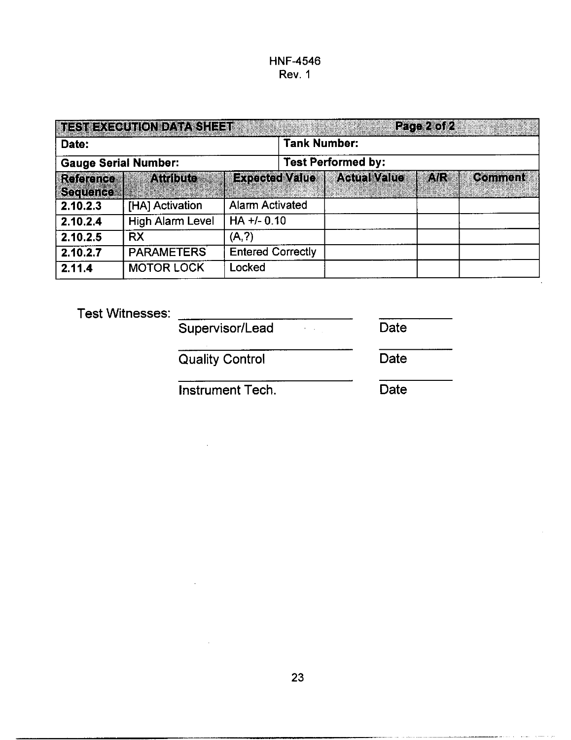| <b>TESTEXCOUTON DATASTEE</b> T |                         |                          |                           | Page 2 of 2 |                |  |
|--------------------------------|-------------------------|--------------------------|---------------------------|-------------|----------------|--|
| Date:                          |                         |                          | <b>Tank Number:</b>       |             |                |  |
| <b>Gauge Serial Number:</b>    |                         |                          | <b>Test Performed by:</b> |             |                |  |
| Reference<br><b>Sequence</b>   | <b>Attribute</b>        | <b>Expected Value</b>    | <b>Actual Value</b>       | A/R         | <b>Comment</b> |  |
| 2.10.2.3                       | [HA] Activation         | <b>Alarm Activated</b>   |                           |             |                |  |
| 2.10.2.4                       | <b>High Alarm Level</b> | $HA +/- 0.10$            |                           |             |                |  |
| 2.10.2.5                       | <b>RX</b>               | (A,?)                    |                           |             |                |  |
| 2.10.2.7                       | <b>PARAMETERS</b>       | <b>Entered Correctly</b> |                           |             |                |  |
| 2.11.4                         | <b>MOTOR LOCK</b>       | Locked                   |                           |             |                |  |

Test Witnesses:

| Supervisor/Lead | Date |
|-----------------|------|
|                 |      |

Quality Control Date

Instrument Tech. Date

in en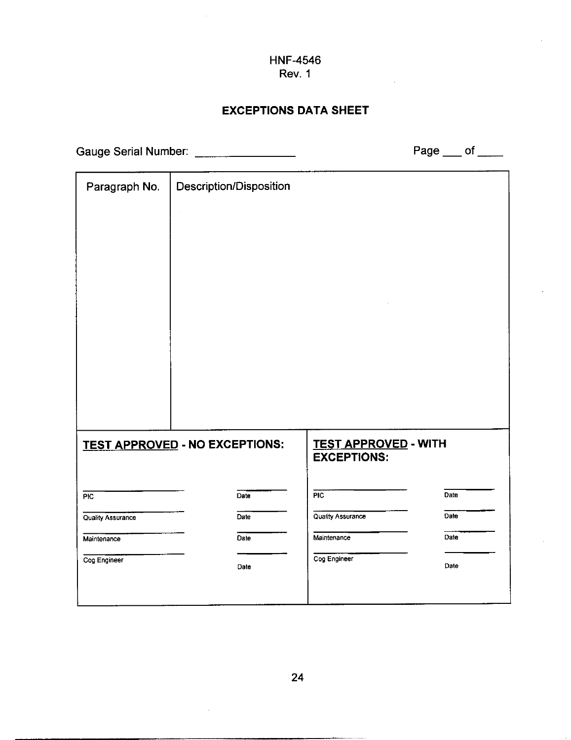## **EXCEPTIONS DATA SHEET**

Gauge Serial Number: \_\_\_\_\_\_\_\_\_\_\_\_\_\_\_\_\_

Page  $\rule{1em}{0.15mm}$  of  $\rule{1em}{0.15mm}$ 

| Paragraph No.            | Description/Disposition               |                                                   |      |
|--------------------------|---------------------------------------|---------------------------------------------------|------|
|                          | ł,                                    |                                                   |      |
|                          |                                       |                                                   |      |
|                          |                                       |                                                   |      |
|                          |                                       |                                                   |      |
|                          |                                       |                                                   |      |
|                          |                                       |                                                   |      |
|                          |                                       |                                                   |      |
|                          |                                       |                                                   |      |
|                          |                                       |                                                   |      |
|                          |                                       |                                                   |      |
|                          |                                       |                                                   |      |
|                          | <b>TEST APPROVED - NO EXCEPTIONS:</b> | <b>TEST APPROVED - WITH</b><br><b>EXCEPTIONS:</b> |      |
|                          |                                       |                                                   |      |
| PIC                      | Date                                  | <b>PIC</b>                                        | Date |
| <b>Quality Assurance</b> | Date                                  | <b>Quality Assurance</b>                          | Date |
| Maintenance              | Date                                  | Maintenance                                       | Date |
| Cog Engineer             | Date                                  | Cog Engineer                                      | Date |
|                          |                                       |                                                   |      |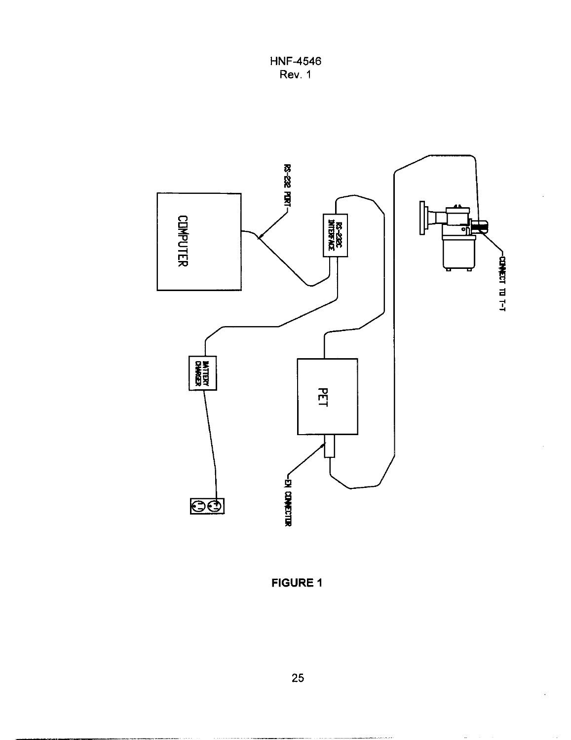**HNF-4546 Rev.** 1

<span id="page-27-0"></span>

**FIGURE 1** 

.- .\_ \_\_ .- ... \_\_\_.I\_- -~~I\_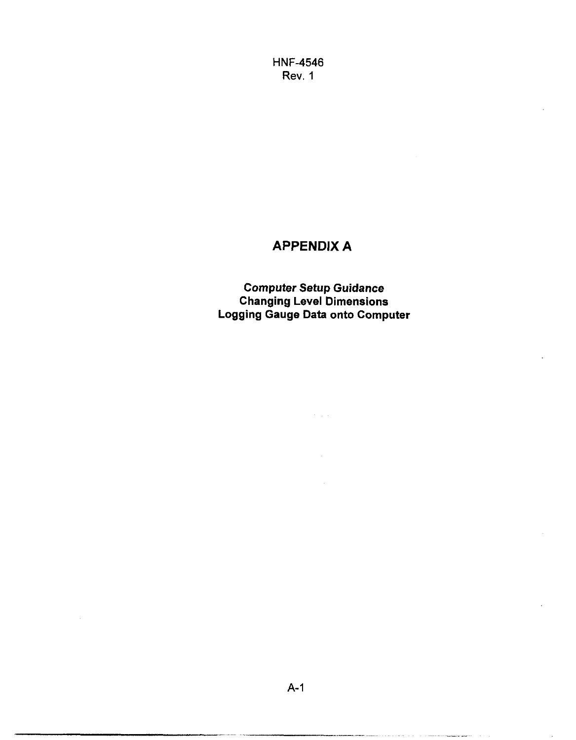## **APPENDIX A**

**Computer Setup Guidance Changing Level Dimensions Logging Gauge Data onto Computer** 

 $\hat{\sigma}$  and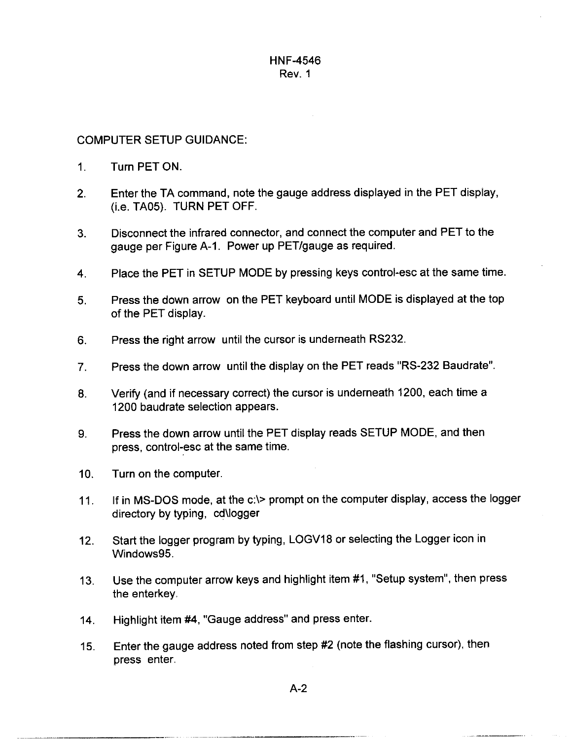#### COMPUTER SETUP GUIDANCE:

- 1. Turn PET ON.
- 2. Enter the TA command, note the gauge address displayed in the PET display, (i.e. TA05). TURN PET OFF.
- 3. Disconnect the infrared connector, and connect the computer and PET to the gauge per Figure A-I. Power up PET/gauge as required.
- **4.**  Place the PET in SETUP MODE by pressing keys control-esc at the same time.
- **5.**  Press the down arrow on the PET keyboard until MODE is displayed at the top of the PET display.
- 6. Press the right arrow until the cursor is underneath RS232.
- 7. Press the down arrow until the display **on** the PET reads "RS-232 Baudrate".
- 8. Verify (and if necessary correct) the cursor is underneath 1200, each time a 1200 baudrate selection appears.
- 9. Press the down arrow until the PET display reads SETUP MODE, and then press, control-esc at the same time.
- $10<sub>l</sub>$ Turn on the computer.
- 11. If in MS-DOS mode, at the c:\> prompt on the computer display, access the logger directory by typing, cd\logger
- 12. Start the logger program by typing, LOGV18 or selecting the Logger icon in Windows95
- 13. Use the computer arrow keys and highlight item #I, "Setup system", then press the enterkey.
- 14. Highlight item #4, "Gauge address" and press enter.
- 15. Enter the gauge address noted from step #2 (note the flashing cursor), then press enter.

A-2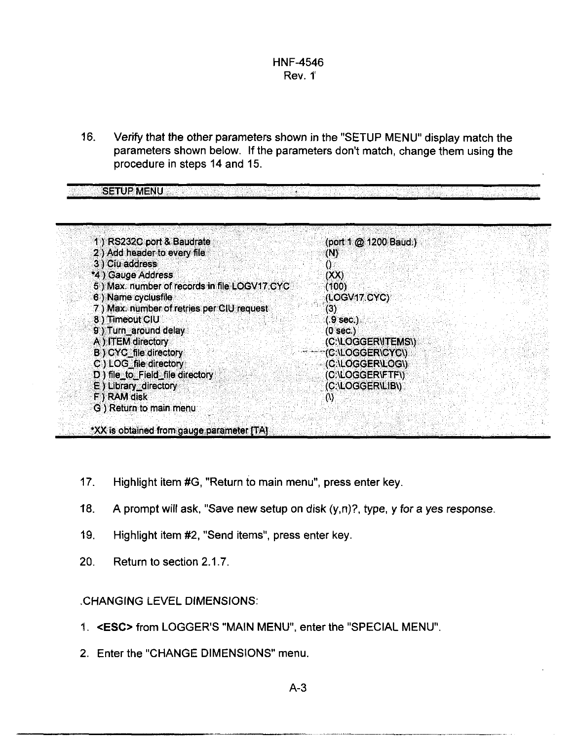16. Verify that the other parameters shown in the "SETUP MENU" display match the parameters shown below. If the parameters don't match, change them using the procedure in steps 14 and 15.

u.

| 1) RS232C port & Baudrate                    | (port 1 @ 1200 Baud.) |
|----------------------------------------------|-----------------------|
| 2) Add header to every file                  | (N)                   |
| 3) Ciu address                               | 0.                    |
| *4) Gauge Address                            | (XX)                  |
| 5) Max: number of records in file LOGV17.CYC | (100)                 |
| 6) Name cyclusfile                           | (LOGV17.CYC)          |
| 7) Max. number of retries per CIU request    | (3)                   |
| 8) Timeout CIU                               | $(.9$ sec.)           |
| 9) Turn_around delay                         | $(0$ sec.)            |
| A) ITEM directory                            | (C:\LOGGER\ITEMS\)    |
| B) CYC_file directory                        | *(C:\LOGGER\CYC\)     |
| $C$ ) LOG_file directory                     | (C:\LOGGER\LOG\)      |
| D) file_to_Field_file directory              | (C:\LOGGER\FTF\)      |
| E) Library directory                         | (C:\LOGGER\LIB\)      |
| F ) RAM disk                                 | $\omega$              |
| G) Return to main menu                       |                       |

- 17. Highlight item #G, "Return to main menu", press enter key.
- 18. A prompt will ask, "Save new setup on disk (y,n)?, type, y for a yes response
- 19. Highlight item #2, "Send items", press enter key.
- 20. Return to section 2.1.7.

**SETUP MENU** 

#### .CHANGING LEVEL DIMENSIONS:

- 1. < ESC> from LOGGER'S "MAIN MENU", enter the "SPECIAL MENU".
- **2.** Enter the "CHANGE DIMENSIONS" menu.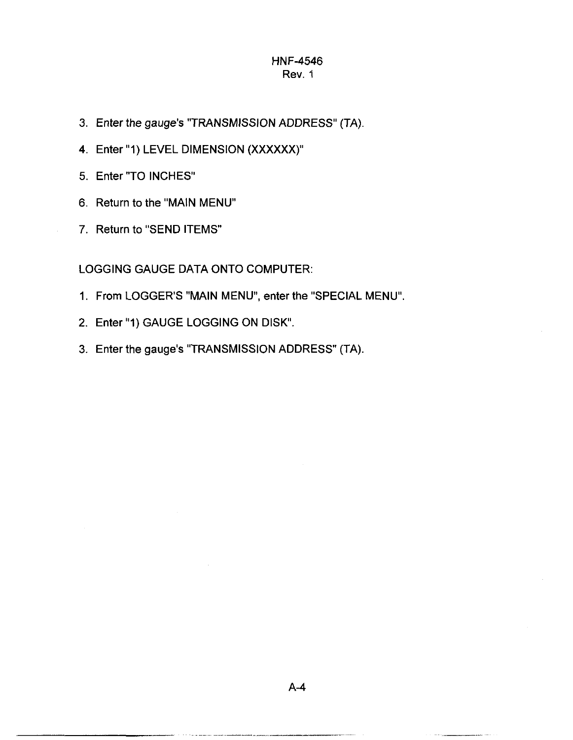- 3. Enter the gauge's "TRANSMISSION ADDRESS" (TA)
- **4.** Enter "1) LEVEL DIMENSION **(XXXXXX)"**
- 5. Enter "TO INCHES"
- **6.** Return to the "MAIN MENU"
- 7. Return to "SEND ITEMS

LOGGING GAUGE DATA ONTO COMPUTER:

- 1. From LOGGERS "MAIN MENU", enter the "SPECIAL MENU".
- 2. Enter "1) GAUGE LOGGING ON DISK'.
- 3. Enter the gauge's "TRANSMISSION ADDRESS" (TA).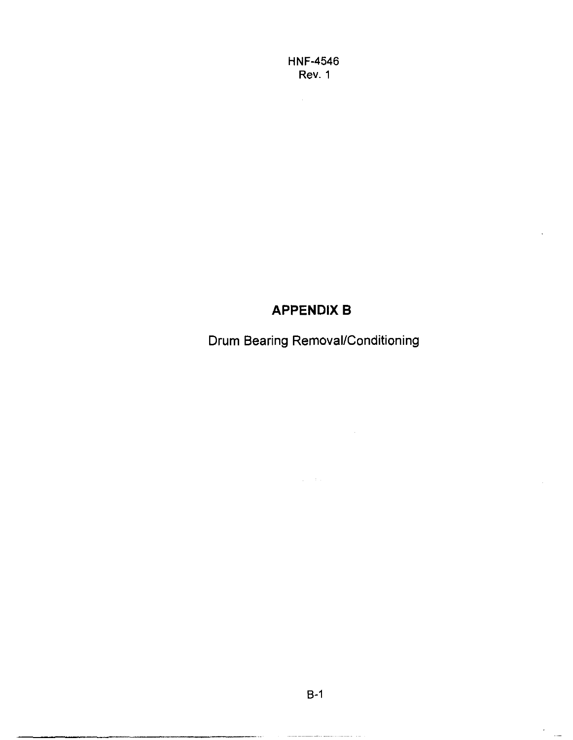## **APPENDIX B**

Drum Bearing Removal/Conditioning

 $B-1$